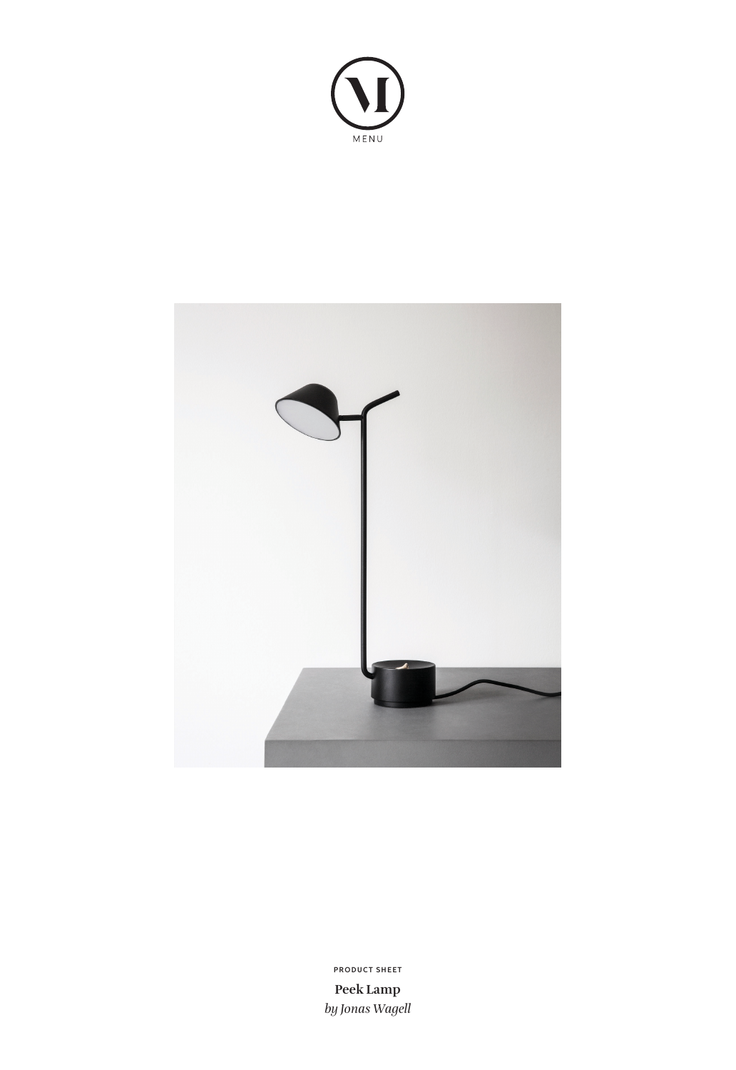



**Peek Lamp** *by Jonas Wagell* **PRODUCT SHEET**